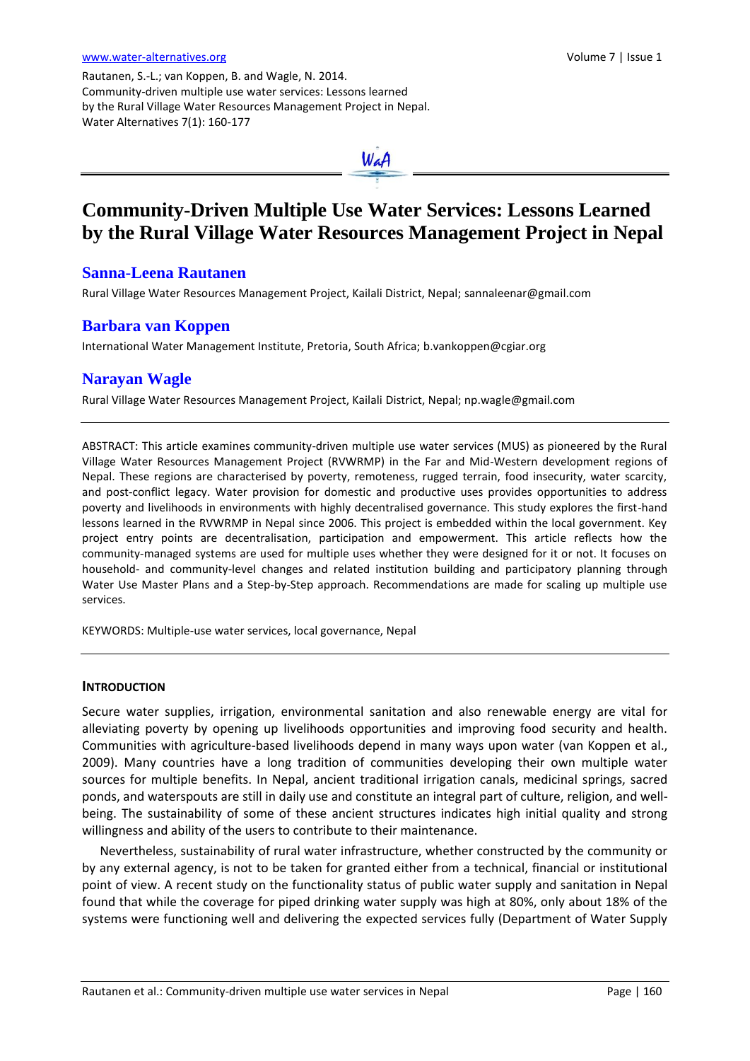Rautanen, S.-L.; van Koppen, B. and Wagle, N. 2014. Community-driven multiple use water services: Lessons learned by the Rural Village Water Resources Management Project in Nepal. Water Alternatives 7(1): 160-177



# **Community-Driven Multiple Use Water Services: Lessons Learned by the Rural Village Water Resources Management Project in Nepal**

# **Sanna-Leena Rautanen**

Rural Village Water Resources Management Project, Kailali District, Nepal[; sannaleenar@gmail.com](mailto:sannaleenar@gmail.com)

## **Barbara van Koppen**

International Water Management Institute, Pretoria, South Africa; [b.vankoppen@cgiar.org](mailto:b.vankoppen@cgiar.org)

# **Narayan Wagle**

Rural Village Water Resources Management Project, Kailali District, Nepal[; np.wagle@gmail.com](mailto:np.wagle@gmail.com)

ABSTRACT: This article examines community-driven multiple use water services (MUS) as pioneered by the Rural Village Water Resources Management Project (RVWRMP) in the Far and Mid-Western development regions of Nepal. These regions are characterised by poverty, remoteness, rugged terrain, food insecurity, water scarcity, and post-conflict legacy. Water provision for domestic and productive uses provides opportunities to address poverty and livelihoods in environments with highly decentralised governance. This study explores the first-hand lessons learned in the RVWRMP in Nepal since 2006. This project is embedded within the local government. Key project entry points are decentralisation, participation and empowerment. This article reflects how the community-managed systems are used for multiple uses whether they were designed for it or not. It focuses on household- and community-level changes and related institution building and participatory planning through Water Use Master Plans and a Step-by-Step approach. Recommendations are made for scaling up multiple use services.

KEYWORDS: Multiple-use water services, local governance, Nepal

#### **INTRODUCTION**

Secure water supplies, irrigation, environmental sanitation and also renewable energy are vital for alleviating poverty by opening up livelihoods opportunities and improving food security and health. Communities with agriculture-based livelihoods depend in many ways upon water (van Koppen et al., 2009). Many countries have a long tradition of communities developing their own multiple water sources for multiple benefits. In Nepal, ancient traditional irrigation canals, medicinal springs, sacred ponds, and waterspouts are still in daily use and constitute an integral part of culture, religion, and wellbeing. The sustainability of some of these ancient structures indicates high initial quality and strong willingness and ability of the users to contribute to their maintenance.

Nevertheless, sustainability of rural water infrastructure, whether constructed by the community or by any external agency, is not to be taken for granted either from a technical, financial or institutional point of view. A recent study on the functionality status of public water supply and sanitation in Nepal found that while the coverage for piped drinking water supply was high at 80%, only about 18% of the systems were functioning well and delivering the expected services fully (Department of Water Supply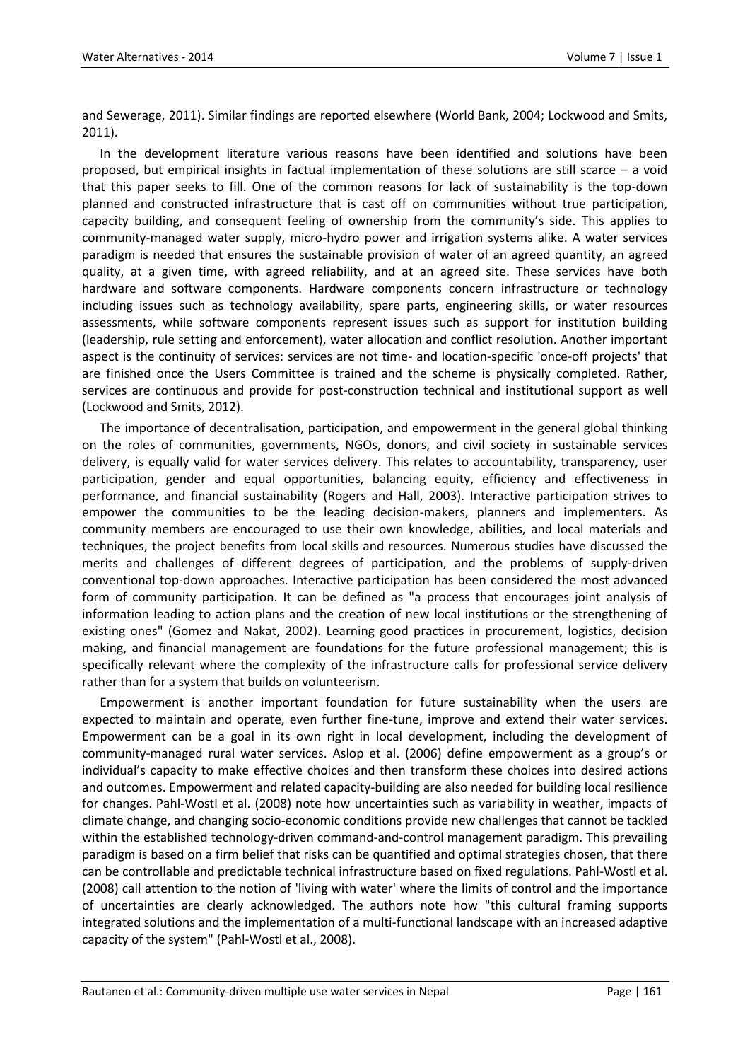and Sewerage, 2011). Similar findings are reported elsewhere (World Bank, 2004; Lockwood and Smits, 2011).

In the development literature various reasons have been identified and solutions have been proposed, but empirical insights in factual implementation of these solutions are still scarce – a void that this paper seeks to fill. One of the common reasons for lack of sustainability is the top-down planned and constructed infrastructure that is cast off on communities without true participation, capacity building, and consequent feeling of ownership from the community's side. This applies to community-managed water supply, micro-hydro power and irrigation systems alike. A water services paradigm is needed that ensures the sustainable provision of water of an agreed quantity, an agreed quality, at a given time, with agreed reliability, and at an agreed site. These services have both hardware and software components. Hardware components concern infrastructure or technology including issues such as technology availability, spare parts, engineering skills, or water resources assessments, while software components represent issues such as support for institution building (leadership, rule setting and enforcement), water allocation and conflict resolution. Another important aspect is the continuity of services: services are not time- and location-specific 'once-off projects' that are finished once the Users Committee is trained and the scheme is physically completed. Rather, services are continuous and provide for post-construction technical and institutional support as well (Lockwood and Smits, 2012).

The importance of decentralisation, participation, and empowerment in the general global thinking on the roles of communities, governments, NGOs, donors, and civil society in sustainable services delivery, is equally valid for water services delivery. This relates to accountability, transparency, user participation, gender and equal opportunities, balancing equity, efficiency and effectiveness in performance, and financial sustainability (Rogers and Hall, 2003). Interactive participation strives to empower the communities to be the leading decision-makers, planners and implementers. As community members are encouraged to use their own knowledge, abilities, and local materials and techniques, the project benefits from local skills and resources. Numerous studies have discussed the merits and challenges of different degrees of participation, and the problems of supply-driven conventional top-down approaches. Interactive participation has been considered the most advanced form of community participation. It can be defined as "a process that encourages joint analysis of information leading to action plans and the creation of new local institutions or the strengthening of existing ones" (Gomez and Nakat, 2002). Learning good practices in procurement, logistics, decision making, and financial management are foundations for the future professional management; this is specifically relevant where the complexity of the infrastructure calls for professional service delivery rather than for a system that builds on volunteerism.

Empowerment is another important foundation for future sustainability when the users are expected to maintain and operate, even further fine-tune, improve and extend their water services. Empowerment can be a goal in its own right in local development, including the development of community-managed rural water services. Aslop et al. (2006) define empowerment as a group's or individual's capacity to make effective choices and then transform these choices into desired actions and outcomes. Empowerment and related capacity-building are also needed for building local resilience for changes. Pahl-Wostl et al. (2008) note how uncertainties such as variability in weather, impacts of climate change, and changing socio-economic conditions provide new challenges that cannot be tackled within the established technology-driven command-and-control management paradigm. This prevailing paradigm is based on a firm belief that risks can be quantified and optimal strategies chosen, that there can be controllable and predictable technical infrastructure based on fixed regulations. Pahl-Wostl et al. (2008) call attention to the notion of 'living with water' where the limits of control and the importance of uncertainties are clearly acknowledged. The authors note how "this cultural framing supports integrated solutions and the implementation of a multi-functional landscape with an increased adaptive capacity of the system" (Pahl-Wostl et al., 2008).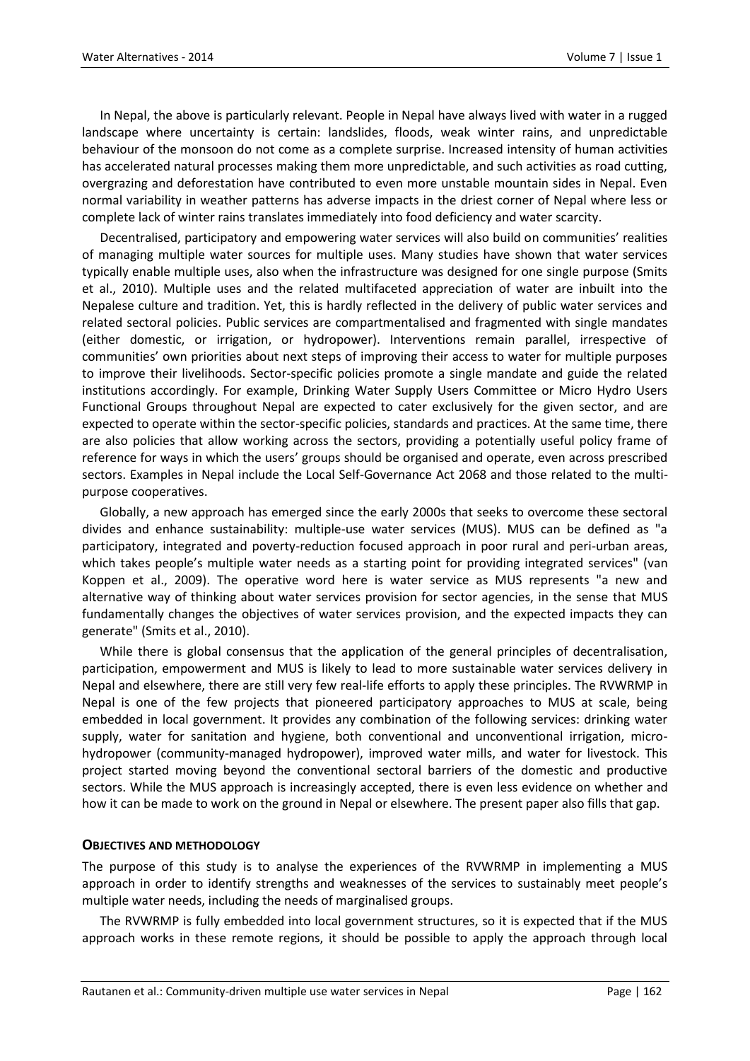In Nepal, the above is particularly relevant. People in Nepal have always lived with water in a rugged landscape where uncertainty is certain: landslides, floods, weak winter rains, and unpredictable behaviour of the monsoon do not come as a complete surprise. Increased intensity of human activities has accelerated natural processes making them more unpredictable, and such activities as road cutting, overgrazing and deforestation have contributed to even more unstable mountain sides in Nepal. Even normal variability in weather patterns has adverse impacts in the driest corner of Nepal where less or complete lack of winter rains translates immediately into food deficiency and water scarcity.

Decentralised, participatory and empowering water services will also build on communities' realities of managing multiple water sources for multiple uses. Many studies have shown that water services typically enable multiple uses, also when the infrastructure was designed for one single purpose (Smits et al., 2010). Multiple uses and the related multifaceted appreciation of water are inbuilt into the Nepalese culture and tradition. Yet, this is hardly reflected in the delivery of public water services and related sectoral policies. Public services are compartmentalised and fragmented with single mandates (either domestic, or irrigation, or hydropower). Interventions remain parallel, irrespective of communities' own priorities about next steps of improving their access to water for multiple purposes to improve their livelihoods. Sector-specific policies promote a single mandate and guide the related institutions accordingly. For example, Drinking Water Supply Users Committee or Micro Hydro Users Functional Groups throughout Nepal are expected to cater exclusively for the given sector, and are expected to operate within the sector-specific policies, standards and practices. At the same time, there are also policies that allow working across the sectors, providing a potentially useful policy frame of reference for ways in which the users' groups should be organised and operate, even across prescribed sectors. Examples in Nepal include the Local Self-Governance Act 2068 and those related to the multipurpose cooperatives.

Globally, a new approach has emerged since the early 2000s that seeks to overcome these sectoral divides and enhance sustainability: multiple-use water services (MUS). MUS can be defined as "a participatory, integrated and poverty-reduction focused approach in poor rural and peri-urban areas, which takes people's multiple water needs as a starting point for providing integrated services" (van Koppen et al., 2009). The operative word here is water service as MUS represents "a new and alternative way of thinking about water services provision for sector agencies, in the sense that MUS fundamentally changes the objectives of water services provision, and the expected impacts they can generate" (Smits et al., 2010).

While there is global consensus that the application of the general principles of decentralisation, participation, empowerment and MUS is likely to lead to more sustainable water services delivery in Nepal and elsewhere, there are still very few real-life efforts to apply these principles. The RVWRMP in Nepal is one of the few projects that pioneered participatory approaches to MUS at scale, being embedded in local government. It provides any combination of the following services: drinking water supply, water for sanitation and hygiene, both conventional and unconventional irrigation, microhydropower (community-managed hydropower), improved water mills, and water for livestock. This project started moving beyond the conventional sectoral barriers of the domestic and productive sectors. While the MUS approach is increasingly accepted, there is even less evidence on whether and how it can be made to work on the ground in Nepal or elsewhere. The present paper also fills that gap.

#### **OBJECTIVES AND METHODOLOGY**

The purpose of this study is to analyse the experiences of the RVWRMP in implementing a MUS approach in order to identify strengths and weaknesses of the services to sustainably meet people's multiple water needs, including the needs of marginalised groups.

The RVWRMP is fully embedded into local government structures, so it is expected that if the MUS approach works in these remote regions, it should be possible to apply the approach through local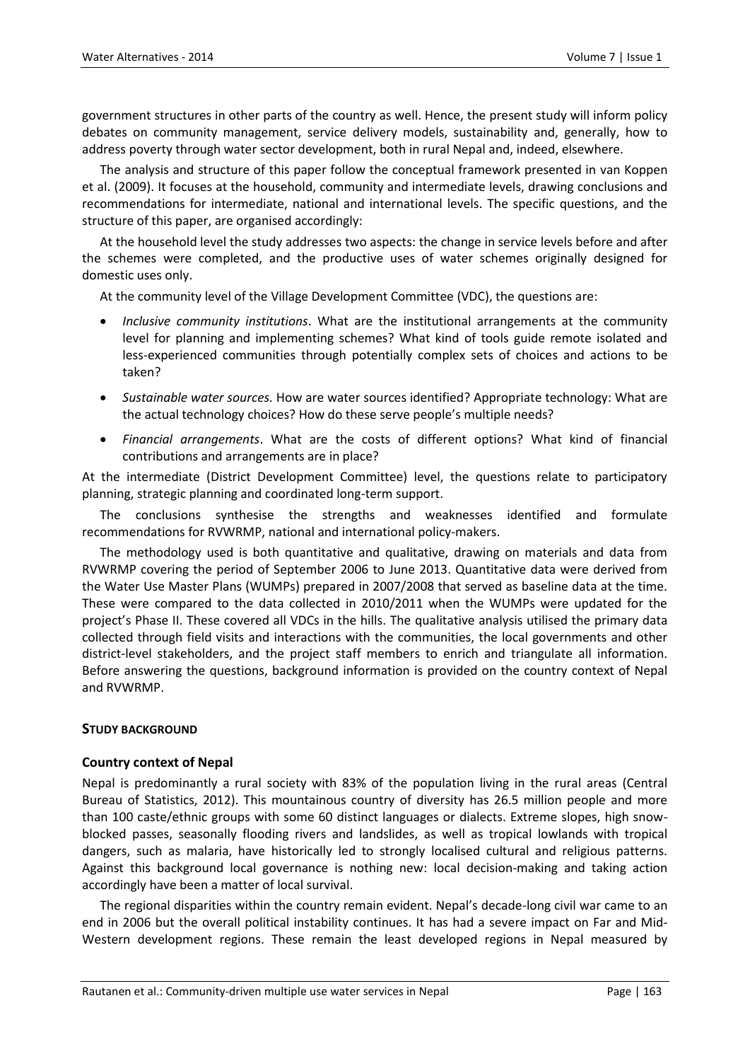government structures in other parts of the country as well. Hence, the present study will inform policy debates on community management, service delivery models, sustainability and, generally, how to address poverty through water sector development, both in rural Nepal and, indeed, elsewhere.

The analysis and structure of this paper follow the conceptual framework presented in van Koppen et al. (2009). It focuses at the household, community and intermediate levels, drawing conclusions and recommendations for intermediate, national and international levels. The specific questions, and the structure of this paper, are organised accordingly:

At the household level the study addresses two aspects: the change in service levels before and after the schemes were completed, and the productive uses of water schemes originally designed for domestic uses only.

At the community level of the Village Development Committee (VDC), the questions are:

- *Inclusive community institutions*. What are the institutional arrangements at the community level for planning and implementing schemes? What kind of tools guide remote isolated and less-experienced communities through potentially complex sets of choices and actions to be taken?
- *Sustainable water sources.* How are water sources identified? Appropriate technology: What are the actual technology choices? How do these serve people's multiple needs?
- *Financial arrangements*. What are the costs of different options? What kind of financial contributions and arrangements are in place?

At the intermediate (District Development Committee) level, the questions relate to participatory planning, strategic planning and coordinated long-term support.

The conclusions synthesise the strengths and weaknesses identified and formulate recommendations for RVWRMP, national and international policy-makers.

The methodology used is both quantitative and qualitative, drawing on materials and data from RVWRMP covering the period of September 2006 to June 2013. Quantitative data were derived from the Water Use Master Plans (WUMPs) prepared in 2007/2008 that served as baseline data at the time. These were compared to the data collected in 2010/2011 when the WUMPs were updated for the project's Phase II. These covered all VDCs in the hills. The qualitative analysis utilised the primary data collected through field visits and interactions with the communities, the local governments and other district-level stakeholders, and the project staff members to enrich and triangulate all information. Before answering the questions, background information is provided on the country context of Nepal and RVWRMP.

#### **STUDY BACKGROUND**

#### **Country context of Nepal**

Nepal is predominantly a rural society with 83% of the population living in the rural areas (Central Bureau of Statistics, 2012). This mountainous country of diversity has 26.5 million people and more than 100 caste/ethnic groups with some 60 distinct languages or dialects. Extreme slopes, high snowblocked passes, seasonally flooding rivers and landslides, as well as tropical lowlands with tropical dangers, such as malaria, have historically led to strongly localised cultural and religious patterns. Against this background local governance is nothing new: local decision-making and taking action accordingly have been a matter of local survival.

The regional disparities within the country remain evident. Nepal's decade-long civil war came to an end in 2006 but the overall political instability continues. It has had a severe impact on Far and Mid-Western development regions. These remain the least developed regions in Nepal measured by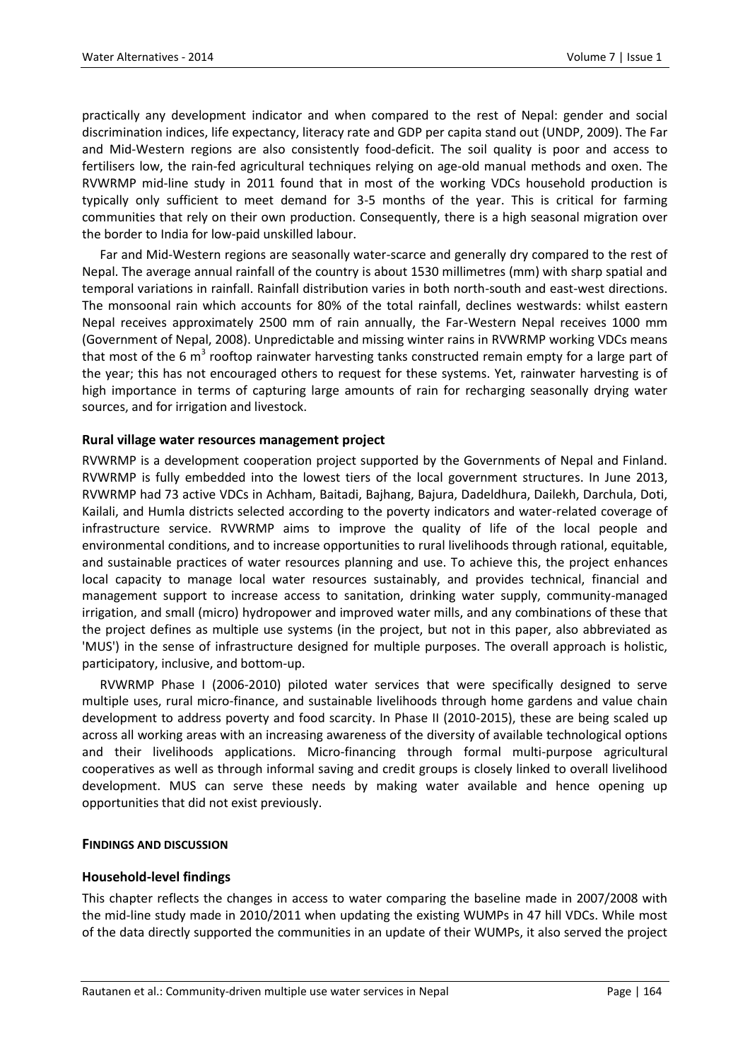practically any development indicator and when compared to the rest of Nepal: gender and social discrimination indices, life expectancy, literacy rate and GDP per capita stand out (UNDP, 2009). The Far and Mid-Western regions are also consistently food-deficit. The soil quality is poor and access to fertilisers low, the rain-fed agricultural techniques relying on age-old manual methods and oxen. The RVWRMP mid-line study in 2011 found that in most of the working VDCs household production is typically only sufficient to meet demand for 3-5 months of the year. This is critical for farming communities that rely on their own production. Consequently, there is a high seasonal migration over the border to India for low-paid unskilled labour.

Far and Mid-Western regions are seasonally water-scarce and generally dry compared to the rest of Nepal. The average annual rainfall of the country is about 1530 millimetres (mm) with sharp spatial and temporal variations in rainfall. Rainfall distribution varies in both north-south and east-west directions. The monsoonal rain which accounts for 80% of the total rainfall, declines westwards: whilst eastern Nepal receives approximately 2500 mm of rain annually, the Far-Western Nepal receives 1000 mm (Government of Nepal, 2008). Unpredictable and missing winter rains in RVWRMP working VDCs means that most of the 6 m<sup>3</sup> rooftop rainwater harvesting tanks constructed remain empty for a large part of the year; this has not encouraged others to request for these systems. Yet, rainwater harvesting is of high importance in terms of capturing large amounts of rain for recharging seasonally drying water sources, and for irrigation and livestock.

## **Rural village water resources management project**

RVWRMP is a development cooperation project supported by the Governments of Nepal and Finland. RVWRMP is fully embedded into the lowest tiers of the local government structures. In June 2013, RVWRMP had 73 active VDCs in Achham, Baitadi, Bajhang, Bajura, Dadeldhura, Dailekh, Darchula, Doti, Kailali, and Humla districts selected according to the poverty indicators and water-related coverage of infrastructure service. RVWRMP aims to improve the quality of life of the local people and environmental conditions, and to increase opportunities to rural livelihoods through rational, equitable, and sustainable practices of water resources planning and use. To achieve this, the project enhances local capacity to manage local water resources sustainably, and provides technical, financial and management support to increase access to sanitation, drinking water supply, community-managed irrigation, and small (micro) hydropower and improved water mills, and any combinations of these that the project defines as multiple use systems (in the project, but not in this paper, also abbreviated as 'MUS') in the sense of infrastructure designed for multiple purposes. The overall approach is holistic, participatory, inclusive, and bottom-up.

RVWRMP Phase I (2006-2010) piloted water services that were specifically designed to serve multiple uses, rural micro-finance, and sustainable livelihoods through home gardens and value chain development to address poverty and food scarcity. In Phase II (2010-2015), these are being scaled up across all working areas with an increasing awareness of the diversity of available technological options and their livelihoods applications. Micro-financing through formal multi-purpose agricultural cooperatives as well as through informal saving and credit groups is closely linked to overall livelihood development. MUS can serve these needs by making water available and hence opening up opportunities that did not exist previously.

#### **FINDINGS AND DISCUSSION**

#### **Household-level findings**

This chapter reflects the changes in access to water comparing the baseline made in 2007/2008 with the mid-line study made in 2010/2011 when updating the existing WUMPs in 47 hill VDCs. While most of the data directly supported the communities in an update of their WUMPs, it also served the project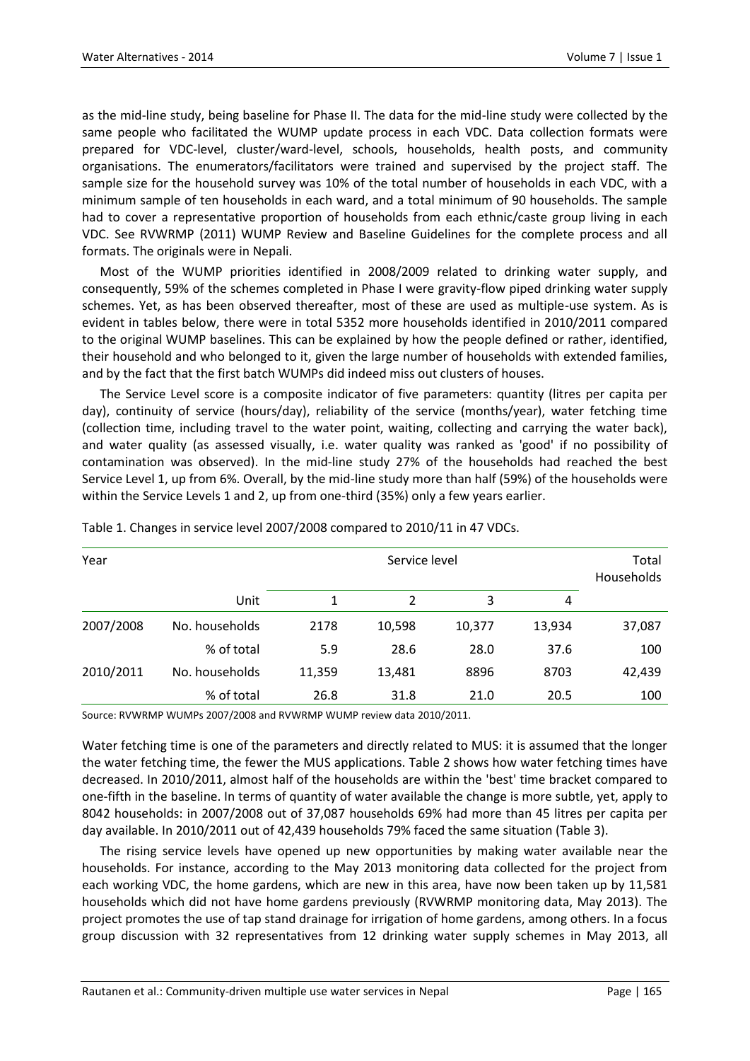as the mid-line study, being baseline for Phase II. The data for the mid-line study were collected by the same people who facilitated the WUMP update process in each VDC. Data collection formats were prepared for VDC-level, cluster/ward-level, schools, households, health posts, and community organisations. The enumerators/facilitators were trained and supervised by the project staff. The sample size for the household survey was 10% of the total number of households in each VDC, with a minimum sample of ten households in each ward, and a total minimum of 90 households. The sample had to cover a representative proportion of households from each ethnic/caste group living in each VDC. See RVWRMP (2011) WUMP Review and Baseline Guidelines for the complete process and all formats. The originals were in Nepali.

Most of the WUMP priorities identified in 2008/2009 related to drinking water supply, and consequently, 59% of the schemes completed in Phase I were gravity-flow piped drinking water supply schemes. Yet, as has been observed thereafter, most of these are used as multiple-use system. As is evident in tables below, there were in total 5352 more households identified in 2010/2011 compared to the original WUMP baselines. This can be explained by how the people defined or rather, identified, their household and who belonged to it, given the large number of households with extended families, and by the fact that the first batch WUMPs did indeed miss out clusters of houses.

The Service Level score is a composite indicator of five parameters: quantity (litres per capita per day), continuity of service (hours/day), reliability of the service (months/year), water fetching time (collection time, including travel to the water point, waiting, collecting and carrying the water back), and water quality (as assessed visually, i.e. water quality was ranked as 'good' if no possibility of contamination was observed). In the mid-line study 27% of the households had reached the best Service Level 1, up from 6%. Overall, by the mid-line study more than half (59%) of the households were within the Service Levels 1 and 2, up from one-third (35%) only a few years earlier.

| Year      |                |        |                | Service level | Total<br>Households |        |
|-----------|----------------|--------|----------------|---------------|---------------------|--------|
|           | Unit           | 1      | $\overline{2}$ | 3             | 4                   |        |
| 2007/2008 | No. households | 2178   | 10,598         | 10,377        | 13,934              | 37,087 |
|           | % of total     | 5.9    | 28.6           | 28.0          | 37.6                | 100    |
| 2010/2011 | No. households | 11,359 | 13,481         | 8896          | 8703                | 42,439 |
|           | % of total     | 26.8   | 31.8           | 21.0          | 20.5                | 100    |

Table 1. Changes in service level 2007/2008 compared to 2010/11 in 47 VDCs.

Source: RVWRMP WUMPs 2007/2008 and RVWRMP WUMP review data 2010/2011.

Water fetching time is one of the parameters and directly related to MUS: it is assumed that the longer the water fetching time, the fewer the MUS applications. Table 2 shows how water fetching times have decreased. In 2010/2011, almost half of the households are within the 'best' time bracket compared to one-fifth in the baseline. In terms of quantity of water available the change is more subtle, yet, apply to 8042 households: in 2007/2008 out of 37,087 households 69% had more than 45 litres per capita per day available. In 2010/2011 out of 42,439 households 79% faced the same situation (Table 3).

The rising service levels have opened up new opportunities by making water available near the households. For instance, according to the May 2013 monitoring data collected for the project from each working VDC, the home gardens, which are new in this area, have now been taken up by 11,581 households which did not have home gardens previously (RVWRMP monitoring data, May 2013). The project promotes the use of tap stand drainage for irrigation of home gardens, among others. In a focus group discussion with 32 representatives from 12 drinking water supply schemes in May 2013, all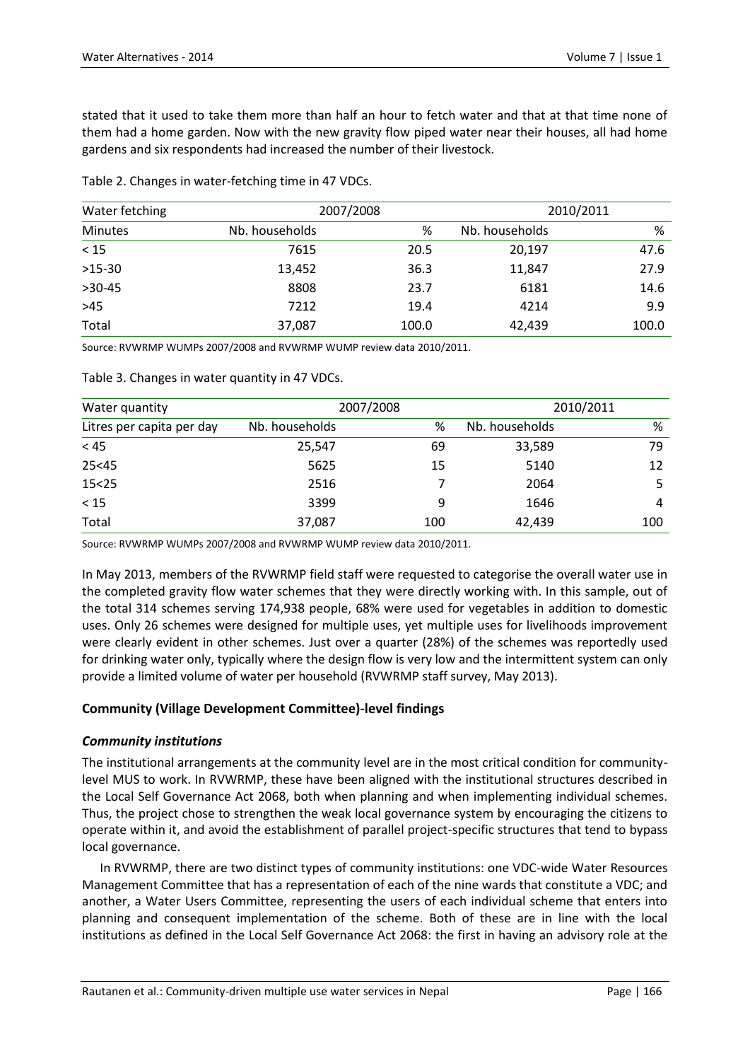stated that it used to take them more than half an hour to fetch water and that at that time none of them had a home garden. Now with the new gravity flow piped water near their houses, all had home gardens and six respondents had increased the number of their livestock.

Table 2. Changes in water-fetching time in 47 VDCs.

| Water fetching | 2007/2008      |       | 2010/2011      |       |  |
|----------------|----------------|-------|----------------|-------|--|
| <b>Minutes</b> | Nb. households | %     | Nb. households | %     |  |
| $<15$          | 7615           | 20.5  | 20,197         | 47.6  |  |
| $>15-30$       | 13,452         | 36.3  | 11,847         | 27.9  |  |
| $>30-45$       | 8808           | 23.7  | 6181           | 14.6  |  |
| $>45$          | 7212           | 19.4  | 4214           | 9.9   |  |
| Total          | 37,087         | 100.0 | 42,439         | 100.0 |  |

Source: RVWRMP WUMPs 2007/2008 and RVWRMP WUMP review data 2010/2011.

| Water quantity            |                | 2007/2008 | 2010/2011      |     |  |
|---------------------------|----------------|-----------|----------------|-----|--|
| Litres per capita per day | Nb. households | %         | Nb. households | %   |  |
| < 45                      | 25,547         | 69        | 33,589         | 79  |  |
| 25 < 45                   | 5625           | 15        | 5140           | 12  |  |
| 15 < 25                   | 2516           |           | 2064           |     |  |
| < 15                      | 3399           | 9         | 1646           | 4   |  |
| Total                     | 37,087         | 100       | 42,439         | 100 |  |

Table 3. Changes in water quantity in 47 VDCs.

Source: RVWRMP WUMPs 2007/2008 and RVWRMP WUMP review data 2010/2011.

In May 2013, members of the RVWRMP field staff were requested to categorise the overall water use in the completed gravity flow water schemes that they were directly working with. In this sample, out of the total 314 schemes serving 174,938 people, 68% were used for vegetables in addition to domestic uses. Only 26 schemes were designed for multiple uses, yet multiple uses for livelihoods improvement were clearly evident in other schemes. Just over a quarter (28%) of the schemes was reportedly used for drinking water only, typically where the design flow is very low and the intermittent system can only provide a limited volume of water per household (RVWRMP staff survey, May 2013).

#### **Community (Village Development Committee)-level findings**

#### *Community institutions*

The institutional arrangements at the community level are in the most critical condition for communitylevel MUS to work. In RVWRMP, these have been aligned with the institutional structures described in the Local Self Governance Act 2068, both when planning and when implementing individual schemes. Thus, the project chose to strengthen the weak local governance system by encouraging the citizens to operate within it, and avoid the establishment of parallel project-specific structures that tend to bypass local governance.

In RVWRMP, there are two distinct types of community institutions: one VDC-wide Water Resources Management Committee that has a representation of each of the nine wards that constitute a VDC; and another, a Water Users Committee, representing the users of each individual scheme that enters into planning and consequent implementation of the scheme. Both of these are in line with the local institutions as defined in the Local Self Governance Act 2068: the first in having an advisory role at the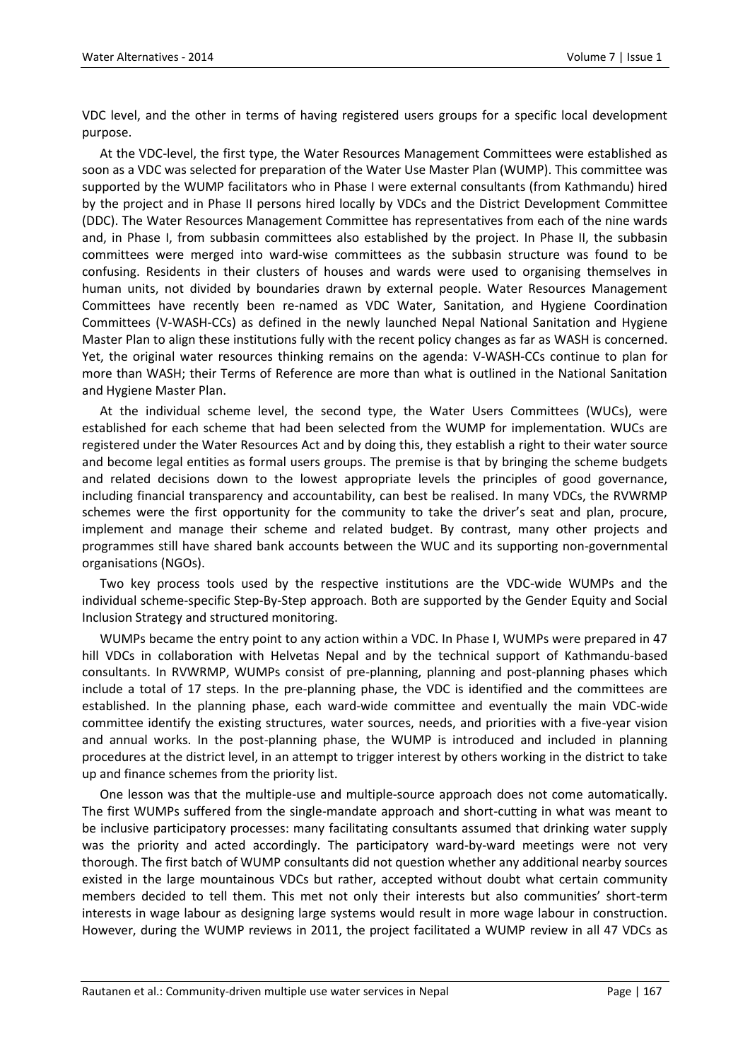VDC level, and the other in terms of having registered users groups for a specific local development purpose.

At the VDC-level, the first type, the Water Resources Management Committees were established as soon as a VDC was selected for preparation of the Water Use Master Plan (WUMP). This committee was supported by the WUMP facilitators who in Phase I were external consultants (from Kathmandu) hired by the project and in Phase II persons hired locally by VDCs and the District Development Committee (DDC). The Water Resources Management Committee has representatives from each of the nine wards and, in Phase I, from subbasin committees also established by the project. In Phase II, the subbasin committees were merged into ward-wise committees as the subbasin structure was found to be confusing. Residents in their clusters of houses and wards were used to organising themselves in human units, not divided by boundaries drawn by external people. Water Resources Management Committees have recently been re-named as VDC Water, Sanitation, and Hygiene Coordination Committees (V-WASH-CCs) as defined in the newly launched Nepal National Sanitation and Hygiene Master Plan to align these institutions fully with the recent policy changes as far as WASH is concerned. Yet, the original water resources thinking remains on the agenda: V-WASH-CCs continue to plan for more than WASH; their Terms of Reference are more than what is outlined in the National Sanitation and Hygiene Master Plan.

At the individual scheme level, the second type, the Water Users Committees (WUCs), were established for each scheme that had been selected from the WUMP for implementation. WUCs are registered under the Water Resources Act and by doing this, they establish a right to their water source and become legal entities as formal users groups. The premise is that by bringing the scheme budgets and related decisions down to the lowest appropriate levels the principles of good governance, including financial transparency and accountability, can best be realised. In many VDCs, the RVWRMP schemes were the first opportunity for the community to take the driver's seat and plan, procure, implement and manage their scheme and related budget. By contrast, many other projects and programmes still have shared bank accounts between the WUC and its supporting non-governmental organisations (NGOs).

Two key process tools used by the respective institutions are the VDC-wide WUMPs and the individual scheme-specific Step-By-Step approach. Both are supported by the Gender Equity and Social Inclusion Strategy and structured monitoring.

WUMPs became the entry point to any action within a VDC. In Phase I, WUMPs were prepared in 47 hill VDCs in collaboration with Helvetas Nepal and by the technical support of Kathmandu-based consultants. In RVWRMP, WUMPs consist of pre-planning, planning and post-planning phases which include a total of 17 steps. In the pre-planning phase, the VDC is identified and the committees are established. In the planning phase, each ward-wide committee and eventually the main VDC-wide committee identify the existing structures, water sources, needs, and priorities with a five-year vision and annual works. In the post-planning phase, the WUMP is introduced and included in planning procedures at the district level, in an attempt to trigger interest by others working in the district to take up and finance schemes from the priority list.

One lesson was that the multiple-use and multiple-source approach does not come automatically. The first WUMPs suffered from the single-mandate approach and short-cutting in what was meant to be inclusive participatory processes: many facilitating consultants assumed that drinking water supply was the priority and acted accordingly. The participatory ward-by-ward meetings were not very thorough. The first batch of WUMP consultants did not question whether any additional nearby sources existed in the large mountainous VDCs but rather, accepted without doubt what certain community members decided to tell them. This met not only their interests but also communities' short-term interests in wage labour as designing large systems would result in more wage labour in construction. However, during the WUMP reviews in 2011, the project facilitated a WUMP review in all 47 VDCs as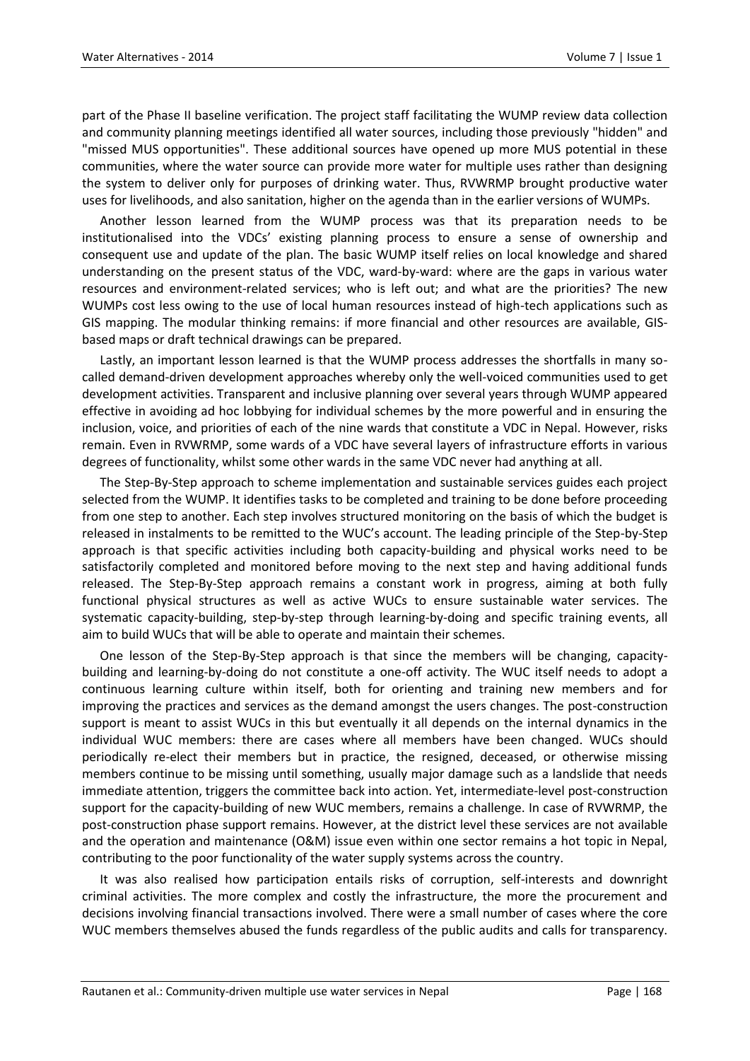part of the Phase II baseline verification. The project staff facilitating the WUMP review data collection and community planning meetings identified all water sources, including those previously "hidden" and "missed MUS opportunities". These additional sources have opened up more MUS potential in these communities, where the water source can provide more water for multiple uses rather than designing the system to deliver only for purposes of drinking water. Thus, RVWRMP brought productive water uses for livelihoods, and also sanitation, higher on the agenda than in the earlier versions of WUMPs.

Another lesson learned from the WUMP process was that its preparation needs to be institutionalised into the VDCs' existing planning process to ensure a sense of ownership and consequent use and update of the plan. The basic WUMP itself relies on local knowledge and shared understanding on the present status of the VDC, ward-by-ward: where are the gaps in various water resources and environment-related services; who is left out; and what are the priorities? The new WUMPs cost less owing to the use of local human resources instead of high-tech applications such as GIS mapping. The modular thinking remains: if more financial and other resources are available, GISbased maps or draft technical drawings can be prepared.

Lastly, an important lesson learned is that the WUMP process addresses the shortfalls in many socalled demand-driven development approaches whereby only the well-voiced communities used to get development activities. Transparent and inclusive planning over several years through WUMP appeared effective in avoiding ad hoc lobbying for individual schemes by the more powerful and in ensuring the inclusion, voice, and priorities of each of the nine wards that constitute a VDC in Nepal. However, risks remain. Even in RVWRMP, some wards of a VDC have several layers of infrastructure efforts in various degrees of functionality, whilst some other wards in the same VDC never had anything at all.

The Step-By-Step approach to scheme implementation and sustainable services guides each project selected from the WUMP. It identifies tasks to be completed and training to be done before proceeding from one step to another. Each step involves structured monitoring on the basis of which the budget is released in instalments to be remitted to the WUC's account. The leading principle of the Step-by-Step approach is that specific activities including both capacity-building and physical works need to be satisfactorily completed and monitored before moving to the next step and having additional funds released. The Step-By-Step approach remains a constant work in progress, aiming at both fully functional physical structures as well as active WUCs to ensure sustainable water services. The systematic capacity-building, step-by-step through learning-by-doing and specific training events, all aim to build WUCs that will be able to operate and maintain their schemes.

One lesson of the Step-By-Step approach is that since the members will be changing, capacitybuilding and learning-by-doing do not constitute a one-off activity. The WUC itself needs to adopt a continuous learning culture within itself, both for orienting and training new members and for improving the practices and services as the demand amongst the users changes. The post-construction support is meant to assist WUCs in this but eventually it all depends on the internal dynamics in the individual WUC members: there are cases where all members have been changed. WUCs should periodically re-elect their members but in practice, the resigned, deceased, or otherwise missing members continue to be missing until something, usually major damage such as a landslide that needs immediate attention, triggers the committee back into action. Yet, intermediate-level post-construction support for the capacity-building of new WUC members, remains a challenge. In case of RVWRMP, the post-construction phase support remains. However, at the district level these services are not available and the operation and maintenance (O&M) issue even within one sector remains a hot topic in Nepal, contributing to the poor functionality of the water supply systems across the country.

It was also realised how participation entails risks of corruption, self-interests and downright criminal activities. The more complex and costly the infrastructure, the more the procurement and decisions involving financial transactions involved. There were a small number of cases where the core WUC members themselves abused the funds regardless of the public audits and calls for transparency.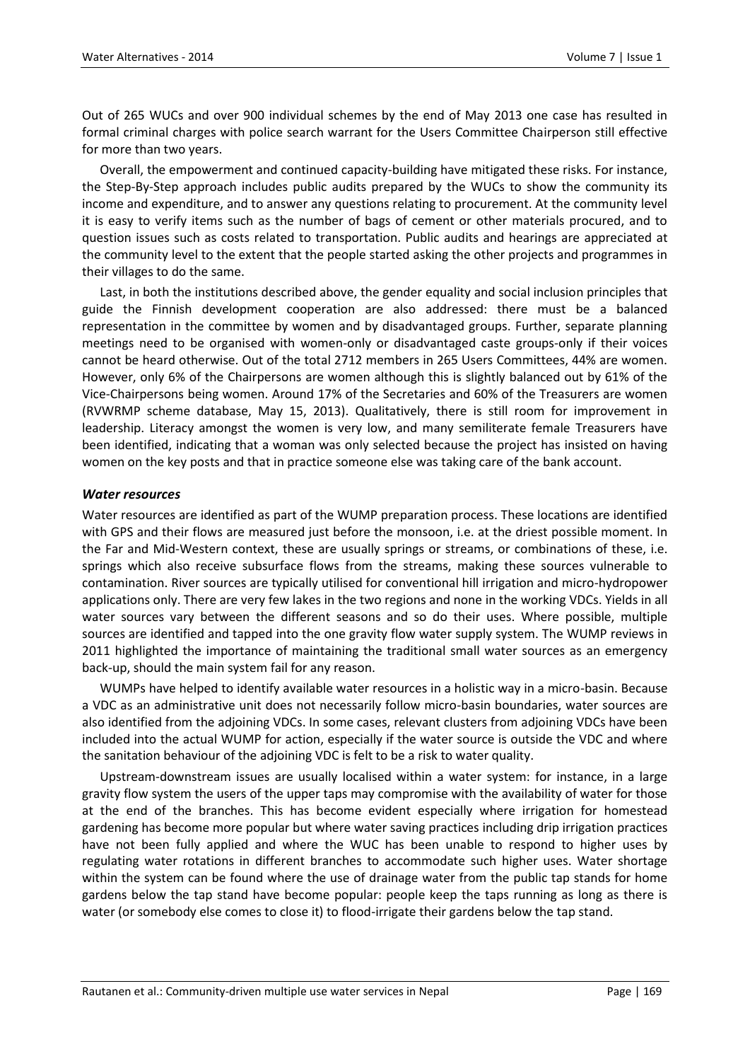Out of 265 WUCs and over 900 individual schemes by the end of May 2013 one case has resulted in formal criminal charges with police search warrant for the Users Committee Chairperson still effective for more than two years.

Overall, the empowerment and continued capacity-building have mitigated these risks. For instance, the Step-By-Step approach includes public audits prepared by the WUCs to show the community its income and expenditure, and to answer any questions relating to procurement. At the community level it is easy to verify items such as the number of bags of cement or other materials procured, and to question issues such as costs related to transportation. Public audits and hearings are appreciated at the community level to the extent that the people started asking the other projects and programmes in their villages to do the same.

Last, in both the institutions described above, the gender equality and social inclusion principles that guide the Finnish development cooperation are also addressed: there must be a balanced representation in the committee by women and by disadvantaged groups. Further, separate planning meetings need to be organised with women-only or disadvantaged caste groups-only if their voices cannot be heard otherwise. Out of the total 2712 members in 265 Users Committees, 44% are women. However, only 6% of the Chairpersons are women although this is slightly balanced out by 61% of the Vice-Chairpersons being women. Around 17% of the Secretaries and 60% of the Treasurers are women (RVWRMP scheme database, May 15, 2013). Qualitatively, there is still room for improvement in leadership. Literacy amongst the women is very low, and many semiliterate female Treasurers have been identified, indicating that a woman was only selected because the project has insisted on having women on the key posts and that in practice someone else was taking care of the bank account.

#### *Water resources*

Water resources are identified as part of the WUMP preparation process. These locations are identified with GPS and their flows are measured just before the monsoon, i.e. at the driest possible moment. In the Far and Mid-Western context, these are usually springs or streams, or combinations of these, i.e. springs which also receive subsurface flows from the streams, making these sources vulnerable to contamination. River sources are typically utilised for conventional hill irrigation and micro-hydropower applications only. There are very few lakes in the two regions and none in the working VDCs. Yields in all water sources vary between the different seasons and so do their uses. Where possible, multiple sources are identified and tapped into the one gravity flow water supply system. The WUMP reviews in 2011 highlighted the importance of maintaining the traditional small water sources as an emergency back-up, should the main system fail for any reason.

WUMPs have helped to identify available water resources in a holistic way in a micro-basin. Because a VDC as an administrative unit does not necessarily follow micro-basin boundaries, water sources are also identified from the adjoining VDCs. In some cases, relevant clusters from adjoining VDCs have been included into the actual WUMP for action, especially if the water source is outside the VDC and where the sanitation behaviour of the adjoining VDC is felt to be a risk to water quality.

Upstream-downstream issues are usually localised within a water system: for instance, in a large gravity flow system the users of the upper taps may compromise with the availability of water for those at the end of the branches. This has become evident especially where irrigation for homestead gardening has become more popular but where water saving practices including drip irrigation practices have not been fully applied and where the WUC has been unable to respond to higher uses by regulating water rotations in different branches to accommodate such higher uses. Water shortage within the system can be found where the use of drainage water from the public tap stands for home gardens below the tap stand have become popular: people keep the taps running as long as there is water (or somebody else comes to close it) to flood-irrigate their gardens below the tap stand.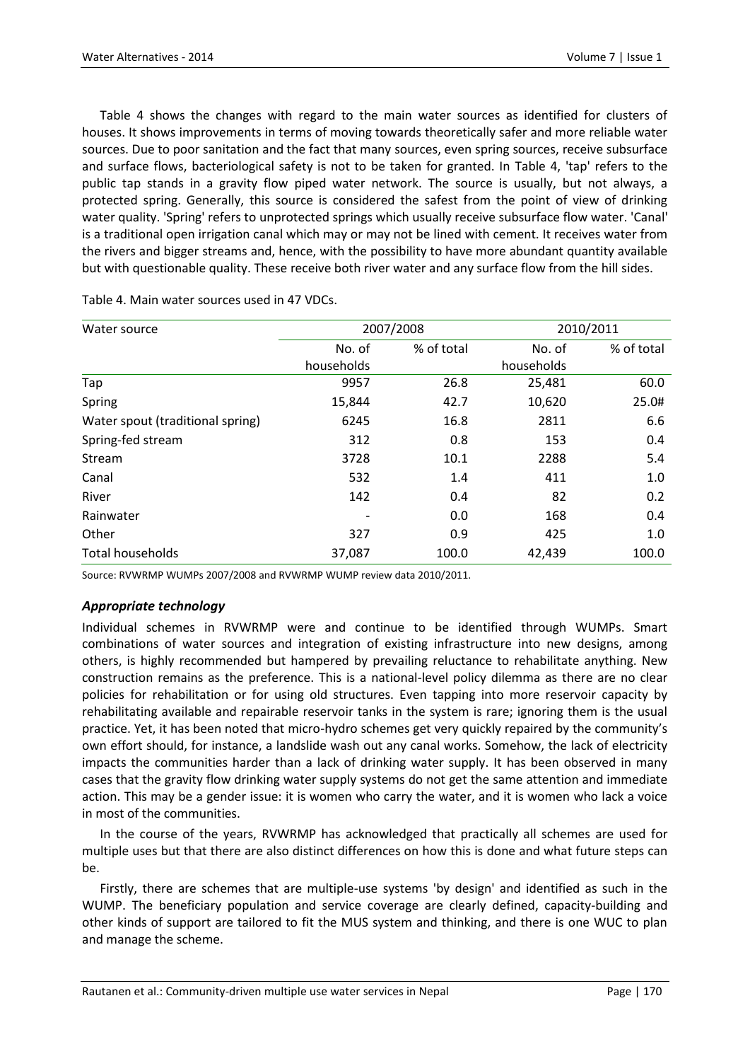Table 4 shows the changes with regard to the main water sources as identified for clusters of houses. It shows improvements in terms of moving towards theoretically safer and more reliable water sources. Due to poor sanitation and the fact that many sources, even spring sources, receive subsurface and surface flows, bacteriological safety is not to be taken for granted. In Table 4, 'tap' refers to the public tap stands in a gravity flow piped water network. The source is usually, but not always, a protected spring. Generally, this source is considered the safest from the point of view of drinking water quality. 'Spring' refers to unprotected springs which usually receive subsurface flow water. 'Canal' is a traditional open irrigation canal which may or may not be lined with cement. It receives water from the rivers and bigger streams and, hence, with the possibility to have more abundant quantity available but with questionable quality. These receive both river water and any surface flow from the hill sides.

| Water source                     |                              | 2007/2008  |            | 2010/2011  |  |
|----------------------------------|------------------------------|------------|------------|------------|--|
|                                  | No. of                       | % of total | No. of     | % of total |  |
|                                  | households                   |            | households |            |  |
| Tap                              | 9957                         | 26.8       | 25,481     | 60.0       |  |
| Spring                           | 15,844                       | 42.7       | 10,620     | 25.0#      |  |
| Water spout (traditional spring) | 6245                         | 16.8       | 2811       | 6.6        |  |
| Spring-fed stream                | 312                          | 0.8        | 153        | 0.4        |  |
| Stream                           | 3728                         | 10.1       | 2288       | 5.4        |  |
| Canal                            | 532                          | 1.4        | 411        | 1.0        |  |
| River                            | 142                          | 0.4        | 82         | 0.2        |  |
| Rainwater                        | $\qquad \qquad \blacksquare$ | 0.0        | 168        | 0.4        |  |
| Other                            | 327                          | 0.9        | 425        | 1.0        |  |
| Total households                 | 37,087                       | 100.0      | 42,439     | 100.0      |  |

Table 4. Main water sources used in 47 VDCs.

Source: RVWRMP WUMPs 2007/2008 and RVWRMP WUMP review data 2010/2011.

#### *Appropriate technology*

Individual schemes in RVWRMP were and continue to be identified through WUMPs. Smart combinations of water sources and integration of existing infrastructure into new designs, among others, is highly recommended but hampered by prevailing reluctance to rehabilitate anything. New construction remains as the preference. This is a national-level policy dilemma as there are no clear policies for rehabilitation or for using old structures. Even tapping into more reservoir capacity by rehabilitating available and repairable reservoir tanks in the system is rare; ignoring them is the usual practice. Yet, it has been noted that micro-hydro schemes get very quickly repaired by the community's own effort should, for instance, a landslide wash out any canal works. Somehow, the lack of electricity impacts the communities harder than a lack of drinking water supply. It has been observed in many cases that the gravity flow drinking water supply systems do not get the same attention and immediate action. This may be a gender issue: it is women who carry the water, and it is women who lack a voice in most of the communities.

In the course of the years, RVWRMP has acknowledged that practically all schemes are used for multiple uses but that there are also distinct differences on how this is done and what future steps can be.

Firstly, there are schemes that are multiple-use systems 'by design' and identified as such in the WUMP. The beneficiary population and service coverage are clearly defined, capacity-building and other kinds of support are tailored to fit the MUS system and thinking, and there is one WUC to plan and manage the scheme.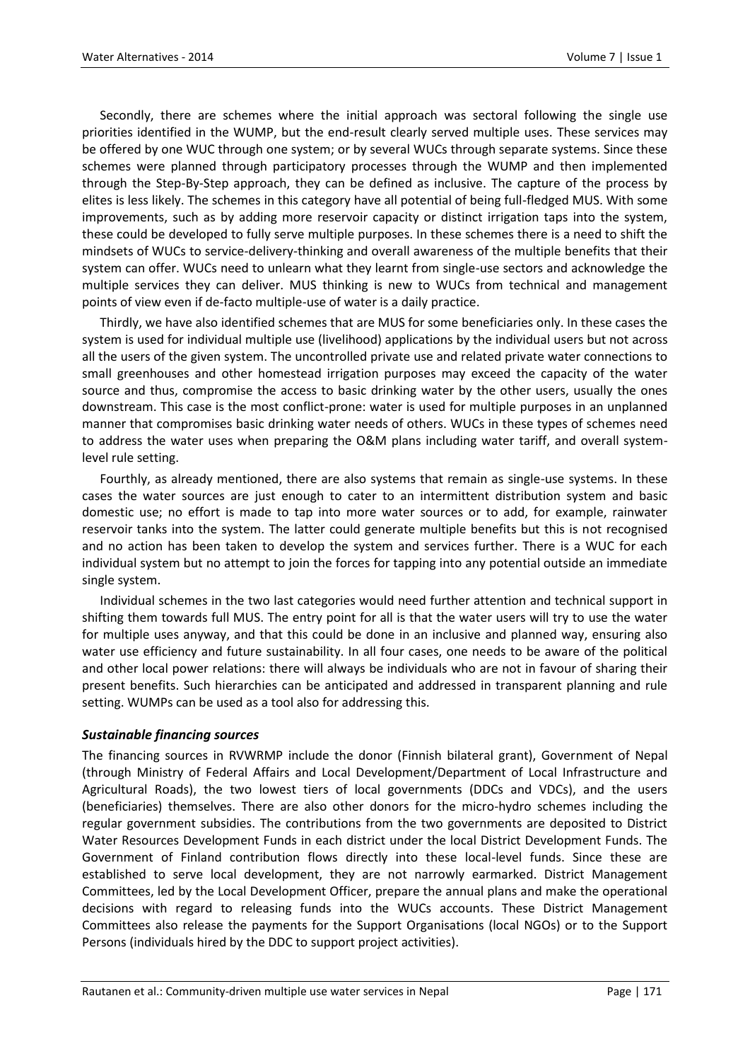Secondly, there are schemes where the initial approach was sectoral following the single use priorities identified in the WUMP, but the end-result clearly served multiple uses. These services may be offered by one WUC through one system; or by several WUCs through separate systems. Since these schemes were planned through participatory processes through the WUMP and then implemented through the Step-By-Step approach, they can be defined as inclusive. The capture of the process by elites is less likely. The schemes in this category have all potential of being full-fledged MUS. With some improvements, such as by adding more reservoir capacity or distinct irrigation taps into the system, these could be developed to fully serve multiple purposes. In these schemes there is a need to shift the mindsets of WUCs to service-delivery-thinking and overall awareness of the multiple benefits that their system can offer. WUCs need to unlearn what they learnt from single-use sectors and acknowledge the multiple services they can deliver. MUS thinking is new to WUCs from technical and management points of view even if de-facto multiple-use of water is a daily practice.

Thirdly, we have also identified schemes that are MUS for some beneficiaries only. In these cases the system is used for individual multiple use (livelihood) applications by the individual users but not across all the users of the given system. The uncontrolled private use and related private water connections to small greenhouses and other homestead irrigation purposes may exceed the capacity of the water source and thus, compromise the access to basic drinking water by the other users, usually the ones downstream. This case is the most conflict-prone: water is used for multiple purposes in an unplanned manner that compromises basic drinking water needs of others. WUCs in these types of schemes need to address the water uses when preparing the O&M plans including water tariff, and overall systemlevel rule setting.

Fourthly, as already mentioned, there are also systems that remain as single-use systems. In these cases the water sources are just enough to cater to an intermittent distribution system and basic domestic use; no effort is made to tap into more water sources or to add, for example, rainwater reservoir tanks into the system. The latter could generate multiple benefits but this is not recognised and no action has been taken to develop the system and services further. There is a WUC for each individual system but no attempt to join the forces for tapping into any potential outside an immediate single system.

Individual schemes in the two last categories would need further attention and technical support in shifting them towards full MUS. The entry point for all is that the water users will try to use the water for multiple uses anyway, and that this could be done in an inclusive and planned way, ensuring also water use efficiency and future sustainability. In all four cases, one needs to be aware of the political and other local power relations: there will always be individuals who are not in favour of sharing their present benefits. Such hierarchies can be anticipated and addressed in transparent planning and rule setting. WUMPs can be used as a tool also for addressing this.

#### *Sustainable financing sources*

The financing sources in RVWRMP include the donor (Finnish bilateral grant), Government of Nepal (through Ministry of Federal Affairs and Local Development/Department of Local Infrastructure and Agricultural Roads), the two lowest tiers of local governments (DDCs and VDCs), and the users (beneficiaries) themselves. There are also other donors for the micro-hydro schemes including the regular government subsidies. The contributions from the two governments are deposited to District Water Resources Development Funds in each district under the local District Development Funds. The Government of Finland contribution flows directly into these local-level funds. Since these are established to serve local development, they are not narrowly earmarked. District Management Committees, led by the Local Development Officer, prepare the annual plans and make the operational decisions with regard to releasing funds into the WUCs accounts. These District Management Committees also release the payments for the Support Organisations (local NGOs) or to the Support Persons (individuals hired by the DDC to support project activities).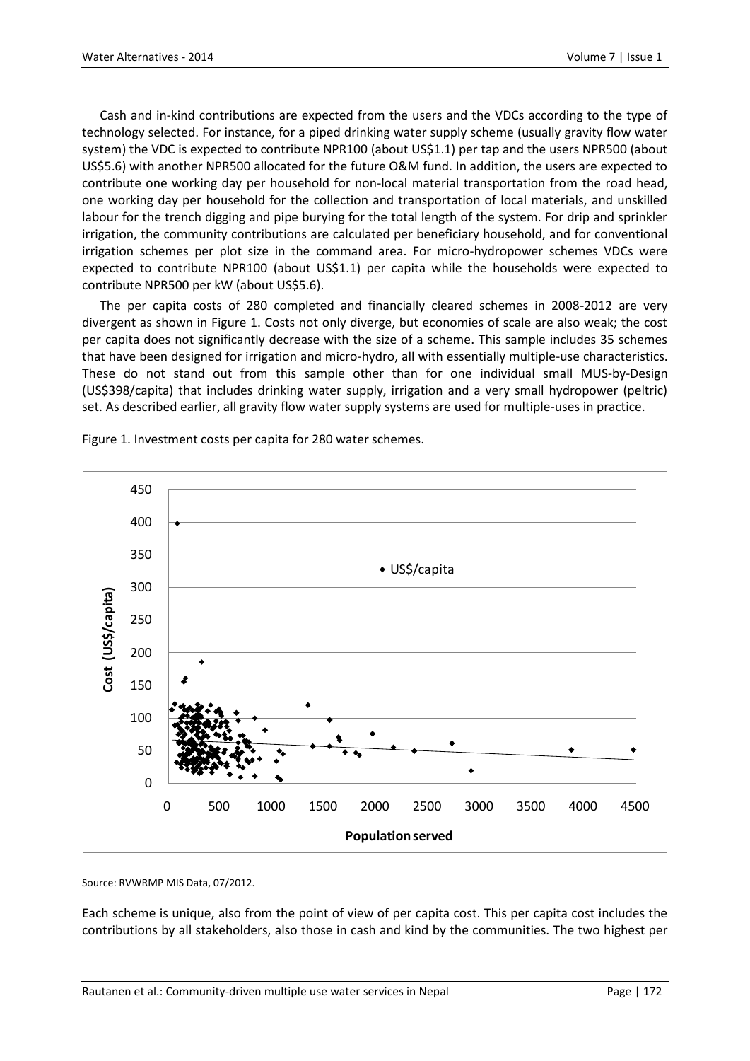Cash and in-kind contributions are expected from the users and the VDCs according to the type of technology selected. For instance, for a piped drinking water supply scheme (usually gravity flow water system) the VDC is expected to contribute NPR100 (about US\$1.1) per tap and the users NPR500 (about US\$5.6) with another NPR500 allocated for the future O&M fund. In addition, the users are expected to contribute one working day per household for non-local material transportation from the road head, one working day per household for the collection and transportation of local materials, and unskilled labour for the trench digging and pipe burying for the total length of the system. For drip and sprinkler irrigation, the community contributions are calculated per beneficiary household, and for conventional irrigation schemes per plot size in the command area. For micro-hydropower schemes VDCs were expected to contribute NPR100 (about US\$1.1) per capita while the households were expected to contribute NPR500 per kW (about US\$5.6).

The per capita costs of 280 completed and financially cleared schemes in 2008-2012 are very divergent as shown in Figure 1. Costs not only diverge, but economies of scale are also weak; the cost per capita does not significantly decrease with the size of a scheme. This sample includes 35 schemes that have been designed for irrigation and micro-hydro, all with essentially multiple-use characteristics. These do not stand out from this sample other than for one individual small MUS-by-Design (US\$398/capita) that includes drinking water supply, irrigation and a very small hydropower (peltric) set. As described earlier, all gravity flow water supply systems are used for multiple-uses in practice.



Figure 1. Investment costs per capita for 280 water schemes.

Source: RVWRMP MIS Data, 07/2012.

Each scheme is unique, also from the point of view of per capita cost. This per capita cost includes the contributions by all stakeholders, also those in cash and kind by the communities. The two highest per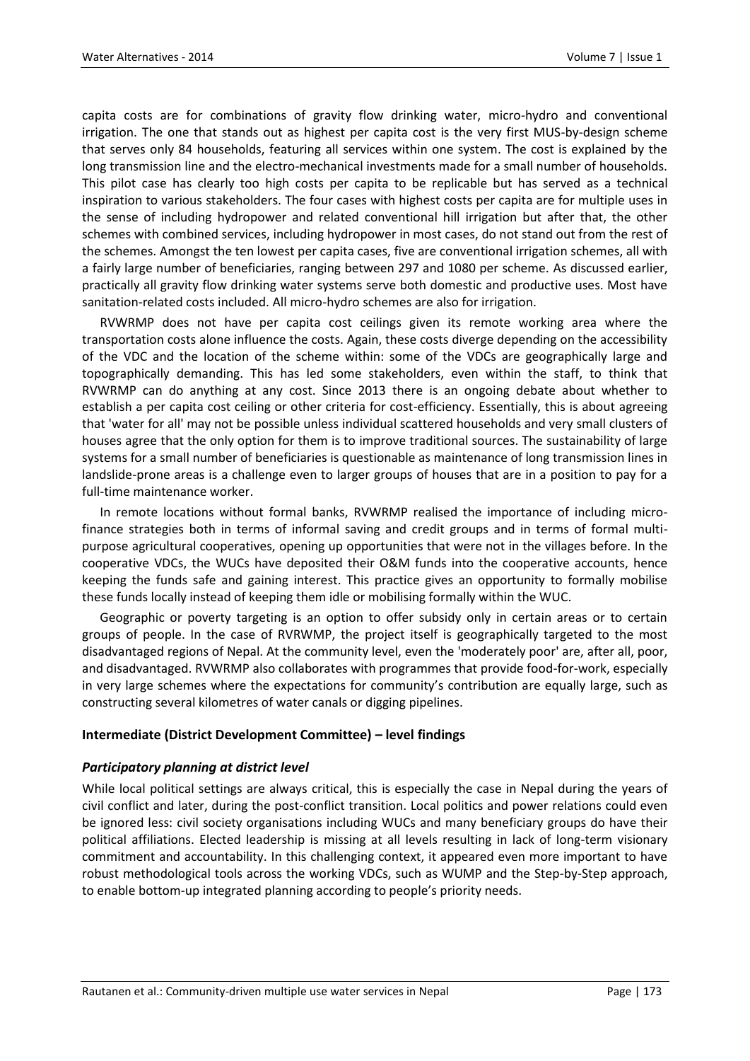capita costs are for combinations of gravity flow drinking water, micro-hydro and conventional irrigation. The one that stands out as highest per capita cost is the very first MUS-by-design scheme that serves only 84 households, featuring all services within one system. The cost is explained by the long transmission line and the electro-mechanical investments made for a small number of households. This pilot case has clearly too high costs per capita to be replicable but has served as a technical inspiration to various stakeholders. The four cases with highest costs per capita are for multiple uses in the sense of including hydropower and related conventional hill irrigation but after that, the other schemes with combined services, including hydropower in most cases, do not stand out from the rest of the schemes. Amongst the ten lowest per capita cases, five are conventional irrigation schemes, all with a fairly large number of beneficiaries, ranging between 297 and 1080 per scheme. As discussed earlier, practically all gravity flow drinking water systems serve both domestic and productive uses. Most have sanitation-related costs included. All micro-hydro schemes are also for irrigation.

RVWRMP does not have per capita cost ceilings given its remote working area where the transportation costs alone influence the costs. Again, these costs diverge depending on the accessibility of the VDC and the location of the scheme within: some of the VDCs are geographically large and topographically demanding. This has led some stakeholders, even within the staff, to think that RVWRMP can do anything at any cost. Since 2013 there is an ongoing debate about whether to establish a per capita cost ceiling or other criteria for cost-efficiency. Essentially, this is about agreeing that 'water for all' may not be possible unless individual scattered households and very small clusters of houses agree that the only option for them is to improve traditional sources. The sustainability of large systems for a small number of beneficiaries is questionable as maintenance of long transmission lines in landslide-prone areas is a challenge even to larger groups of houses that are in a position to pay for a full-time maintenance worker.

In remote locations without formal banks, RVWRMP realised the importance of including microfinance strategies both in terms of informal saving and credit groups and in terms of formal multipurpose agricultural cooperatives, opening up opportunities that were not in the villages before. In the cooperative VDCs, the WUCs have deposited their O&M funds into the cooperative accounts, hence keeping the funds safe and gaining interest. This practice gives an opportunity to formally mobilise these funds locally instead of keeping them idle or mobilising formally within the WUC.

Geographic or poverty targeting is an option to offer subsidy only in certain areas or to certain groups of people. In the case of RVRWMP, the project itself is geographically targeted to the most disadvantaged regions of Nepal. At the community level, even the 'moderately poor' are, after all, poor, and disadvantaged. RVWRMP also collaborates with programmes that provide food-for-work, especially in very large schemes where the expectations for community's contribution are equally large, such as constructing several kilometres of water canals or digging pipelines.

#### **Intermediate (District Development Committee) – level findings**

#### *Participatory planning at district level*

While local political settings are always critical, this is especially the case in Nepal during the years of civil conflict and later, during the post-conflict transition. Local politics and power relations could even be ignored less: civil society organisations including WUCs and many beneficiary groups do have their political affiliations. Elected leadership is missing at all levels resulting in lack of long-term visionary commitment and accountability. In this challenging context, it appeared even more important to have robust methodological tools across the working VDCs, such as WUMP and the Step-by-Step approach, to enable bottom-up integrated planning according to people's priority needs.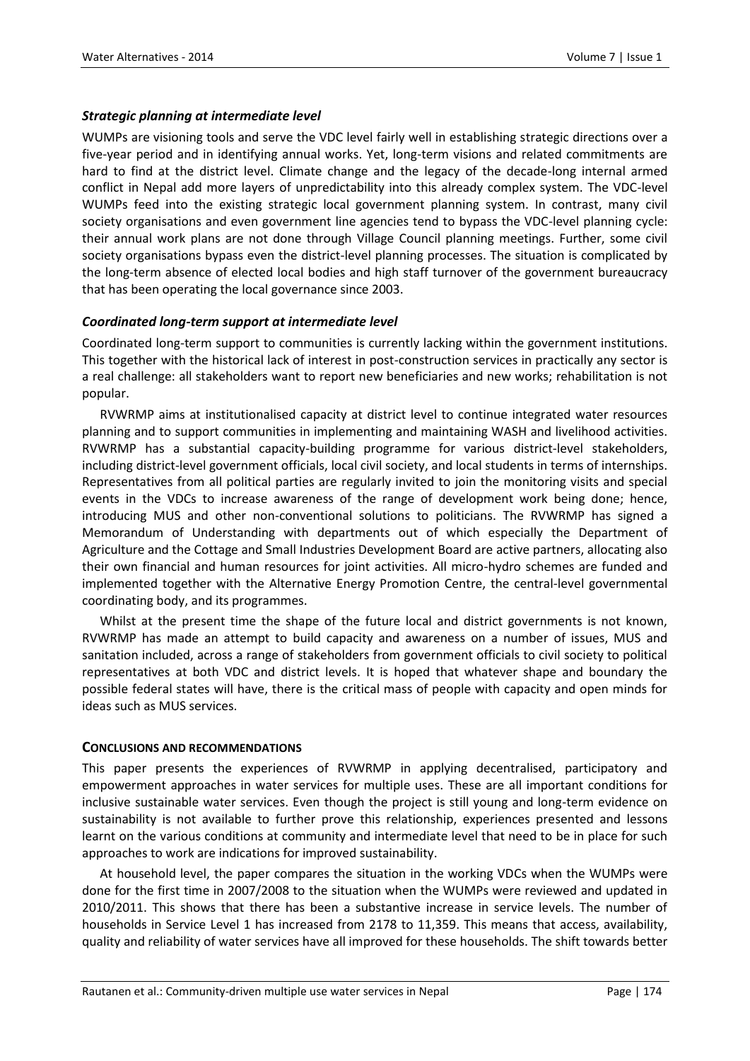#### *Strategic planning at intermediate level*

WUMPs are visioning tools and serve the VDC level fairly well in establishing strategic directions over a five-year period and in identifying annual works. Yet, long-term visions and related commitments are hard to find at the district level. Climate change and the legacy of the decade-long internal armed conflict in Nepal add more layers of unpredictability into this already complex system. The VDC-level WUMPs feed into the existing strategic local government planning system. In contrast, many civil society organisations and even government line agencies tend to bypass the VDC-level planning cycle: their annual work plans are not done through Village Council planning meetings. Further, some civil society organisations bypass even the district-level planning processes. The situation is complicated by the long-term absence of elected local bodies and high staff turnover of the government bureaucracy that has been operating the local governance since 2003.

## *Coordinated long-term support at intermediate level*

Coordinated long-term support to communities is currently lacking within the government institutions. This together with the historical lack of interest in post-construction services in practically any sector is a real challenge: all stakeholders want to report new beneficiaries and new works; rehabilitation is not popular.

RVWRMP aims at institutionalised capacity at district level to continue integrated water resources planning and to support communities in implementing and maintaining WASH and livelihood activities. RVWRMP has a substantial capacity-building programme for various district-level stakeholders, including district-level government officials, local civil society, and local students in terms of internships. Representatives from all political parties are regularly invited to join the monitoring visits and special events in the VDCs to increase awareness of the range of development work being done; hence, introducing MUS and other non-conventional solutions to politicians. The RVWRMP has signed a Memorandum of Understanding with departments out of which especially the Department of Agriculture and the Cottage and Small Industries Development Board are active partners, allocating also their own financial and human resources for joint activities. All micro-hydro schemes are funded and implemented together with the Alternative Energy Promotion Centre, the central-level governmental coordinating body, and its programmes.

Whilst at the present time the shape of the future local and district governments is not known, RVWRMP has made an attempt to build capacity and awareness on a number of issues, MUS and sanitation included, across a range of stakeholders from government officials to civil society to political representatives at both VDC and district levels. It is hoped that whatever shape and boundary the possible federal states will have, there is the critical mass of people with capacity and open minds for ideas such as MUS services.

#### **CONCLUSIONS AND RECOMMENDATIONS**

This paper presents the experiences of RVWRMP in applying decentralised, participatory and empowerment approaches in water services for multiple uses. These are all important conditions for inclusive sustainable water services. Even though the project is still young and long-term evidence on sustainability is not available to further prove this relationship, experiences presented and lessons learnt on the various conditions at community and intermediate level that need to be in place for such approaches to work are indications for improved sustainability.

At household level, the paper compares the situation in the working VDCs when the WUMPs were done for the first time in 2007/2008 to the situation when the WUMPs were reviewed and updated in 2010/2011. This shows that there has been a substantive increase in service levels. The number of households in Service Level 1 has increased from 2178 to 11,359. This means that access, availability, quality and reliability of water services have all improved for these households. The shift towards better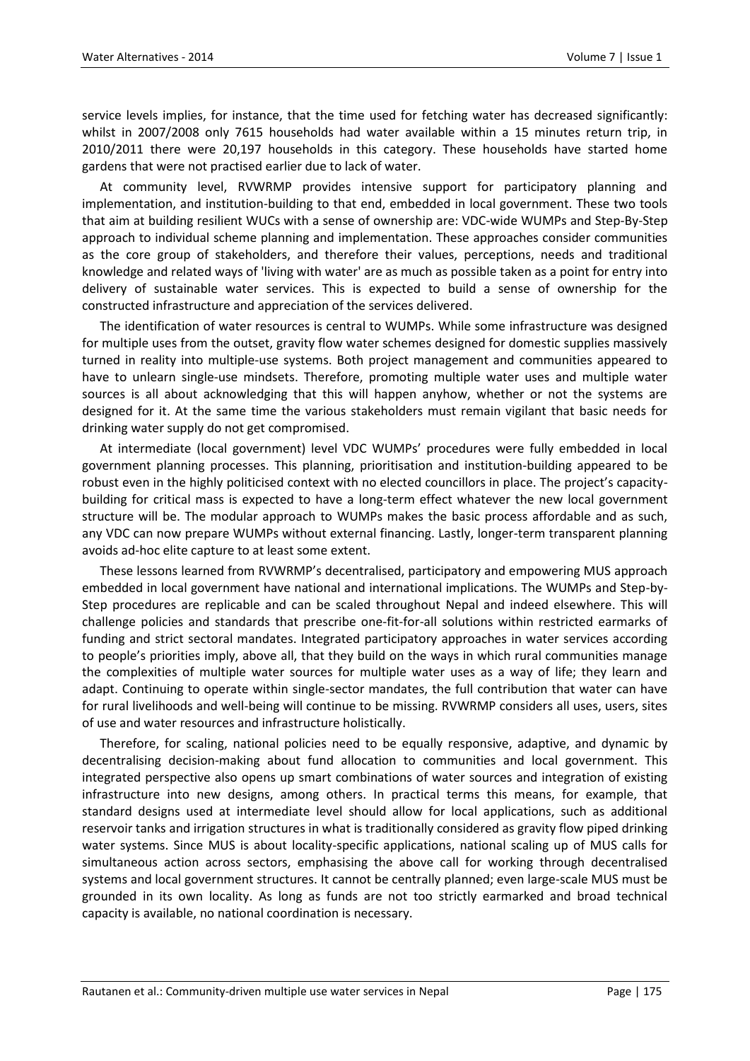service levels implies, for instance, that the time used for fetching water has decreased significantly: whilst in 2007/2008 only 7615 households had water available within a 15 minutes return trip, in 2010/2011 there were 20,197 households in this category. These households have started home gardens that were not practised earlier due to lack of water.

At community level, RVWRMP provides intensive support for participatory planning and implementation, and institution-building to that end, embedded in local government. These two tools that aim at building resilient WUCs with a sense of ownership are: VDC-wide WUMPs and Step-By-Step approach to individual scheme planning and implementation. These approaches consider communities as the core group of stakeholders, and therefore their values, perceptions, needs and traditional knowledge and related ways of 'living with water' are as much as possible taken as a point for entry into delivery of sustainable water services. This is expected to build a sense of ownership for the constructed infrastructure and appreciation of the services delivered.

The identification of water resources is central to WUMPs. While some infrastructure was designed for multiple uses from the outset, gravity flow water schemes designed for domestic supplies massively turned in reality into multiple-use systems. Both project management and communities appeared to have to unlearn single-use mindsets. Therefore, promoting multiple water uses and multiple water sources is all about acknowledging that this will happen anyhow, whether or not the systems are designed for it. At the same time the various stakeholders must remain vigilant that basic needs for drinking water supply do not get compromised.

At intermediate (local government) level VDC WUMPs' procedures were fully embedded in local government planning processes. This planning, prioritisation and institution-building appeared to be robust even in the highly politicised context with no elected councillors in place. The project's capacitybuilding for critical mass is expected to have a long-term effect whatever the new local government structure will be. The modular approach to WUMPs makes the basic process affordable and as such, any VDC can now prepare WUMPs without external financing. Lastly, longer-term transparent planning avoids ad-hoc elite capture to at least some extent.

These lessons learned from RVWRMP's decentralised, participatory and empowering MUS approach embedded in local government have national and international implications. The WUMPs and Step-by-Step procedures are replicable and can be scaled throughout Nepal and indeed elsewhere. This will challenge policies and standards that prescribe one-fit-for-all solutions within restricted earmarks of funding and strict sectoral mandates. Integrated participatory approaches in water services according to people's priorities imply, above all, that they build on the ways in which rural communities manage the complexities of multiple water sources for multiple water uses as a way of life; they learn and adapt. Continuing to operate within single-sector mandates, the full contribution that water can have for rural livelihoods and well-being will continue to be missing. RVWRMP considers all uses, users, sites of use and water resources and infrastructure holistically.

Therefore, for scaling, national policies need to be equally responsive, adaptive, and dynamic by decentralising decision-making about fund allocation to communities and local government. This integrated perspective also opens up smart combinations of water sources and integration of existing infrastructure into new designs, among others. In practical terms this means, for example, that standard designs used at intermediate level should allow for local applications, such as additional reservoir tanks and irrigation structures in what is traditionally considered as gravity flow piped drinking water systems. Since MUS is about locality-specific applications, national scaling up of MUS calls for simultaneous action across sectors, emphasising the above call for working through decentralised systems and local government structures. It cannot be centrally planned; even large-scale MUS must be grounded in its own locality. As long as funds are not too strictly earmarked and broad technical capacity is available, no national coordination is necessary.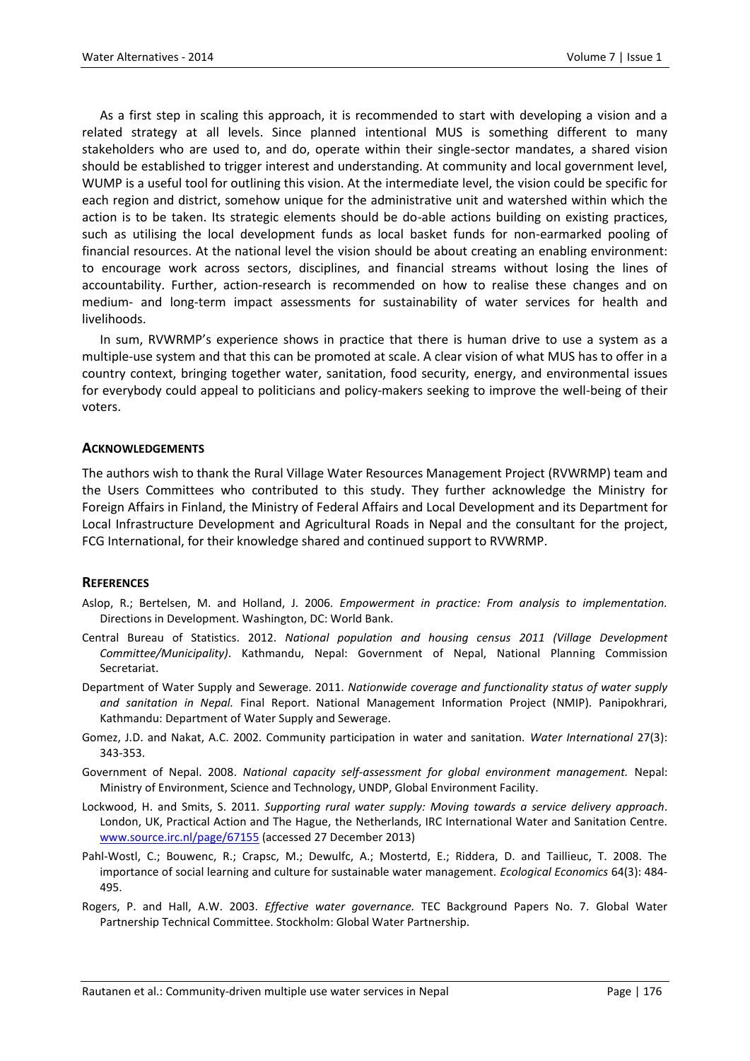As a first step in scaling this approach, it is recommended to start with developing a vision and a related strategy at all levels. Since planned intentional MUS is something different to many stakeholders who are used to, and do, operate within their single-sector mandates, a shared vision should be established to trigger interest and understanding. At community and local government level, WUMP is a useful tool for outlining this vision. At the intermediate level, the vision could be specific for each region and district, somehow unique for the administrative unit and watershed within which the action is to be taken. Its strategic elements should be do-able actions building on existing practices, such as utilising the local development funds as local basket funds for non-earmarked pooling of financial resources. At the national level the vision should be about creating an enabling environment: to encourage work across sectors, disciplines, and financial streams without losing the lines of accountability. Further, action-research is recommended on how to realise these changes and on medium- and long-term impact assessments for sustainability of water services for health and livelihoods.

In sum, RVWRMP's experience shows in practice that there is human drive to use a system as a multiple-use system and that this can be promoted at scale. A clear vision of what MUS has to offer in a country context, bringing together water, sanitation, food security, energy, and environmental issues for everybody could appeal to politicians and policy-makers seeking to improve the well-being of their voters.

#### **ACKNOWLEDGEMENTS**

The authors wish to thank the Rural Village Water Resources Management Project (RVWRMP) team and the Users Committees who contributed to this study. They further acknowledge the Ministry for Foreign Affairs in Finland, the Ministry of Federal Affairs and Local Development and its Department for Local Infrastructure Development and Agricultural Roads in Nepal and the consultant for the project, FCG International, for their knowledge shared and continued support to RVWRMP.

#### **REFERENCES**

- Aslop, R.; Bertelsen, M. and Holland, J. 2006. *Empowerment in practice: From analysis to implementation.* Directions in Development. Washington, DC: World Bank.
- Central Bureau of Statistics. 2012. *National population and housing census 2011 (Village Development Committee/Municipality)*. Kathmandu, Nepal: Government of Nepal, National Planning Commission Secretariat.
- Department of Water Supply and Sewerage. 2011. *Nationwide coverage and functionality status of water supply and sanitation in Nepal.* Final Report. National Management Information Project (NMIP). Panipokhrari, Kathmandu: Department of Water Supply and Sewerage.
- Gomez, J.D. and Nakat, A.C. 2002. Community participation in water and sanitation. *Water International* 27(3): 343-353.
- Government of Nepal. 2008. *National capacity self-assessment for global environment management.* Nepal: Ministry of Environment, Science and Technology, UNDP, Global Environment Facility.
- Lockwood, H. and Smits, S. 2011. *Supporting rural water supply: Moving towards a service delivery approach*. London, UK, Practical Action and The Hague, the Netherlands, IRC International Water and Sanitation Centre. [www.source.irc.nl/page/67155](http://www.source.irc.nl/page/67155) (accessed 27 December 2013)
- Pahl-Wostl, C.; Bouwenc, R.; Crapsc, M.; Dewulfc, A.; Mostertd, E.; Riddera, D. and Taillieuc, T. 2008. The importance of social learning and culture for sustainable water management. *Ecological Economics* 64(3): 484- 495.
- Rogers, P. and Hall, A.W. 2003. *Effective water governance.* TEC Background Papers No. 7. Global Water Partnership Technical Committee. Stockholm: Global Water Partnership.